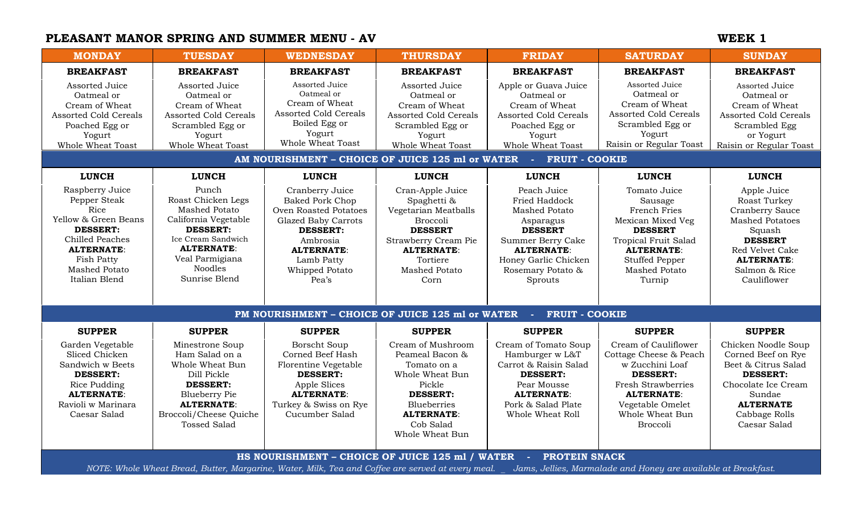# **PLEASANT MANOR SPRING AND SUMMER MENU - AV WEEK 1**

| <b>MONDAY</b>                                                                                                                                                                                                                           | <b>TUESDAY</b>                                                                                                                                                                                  | <b>WEDNESDAY</b>                                                                                                                                                                       | <b>THURSDAY</b>                                                                                                                                                                       | <b>FRIDAY</b>                                                                                                                                                                         | <b>SATURDAY</b>                                                                                                                                                                               | <b>SUNDAY</b>                                                                                                                                                                |
|-----------------------------------------------------------------------------------------------------------------------------------------------------------------------------------------------------------------------------------------|-------------------------------------------------------------------------------------------------------------------------------------------------------------------------------------------------|----------------------------------------------------------------------------------------------------------------------------------------------------------------------------------------|---------------------------------------------------------------------------------------------------------------------------------------------------------------------------------------|---------------------------------------------------------------------------------------------------------------------------------------------------------------------------------------|-----------------------------------------------------------------------------------------------------------------------------------------------------------------------------------------------|------------------------------------------------------------------------------------------------------------------------------------------------------------------------------|
| <b>BREAKFAST</b>                                                                                                                                                                                                                        | <b>BREAKFAST</b>                                                                                                                                                                                | <b>BREAKFAST</b>                                                                                                                                                                       | <b>BREAKFAST</b>                                                                                                                                                                      | <b>BREAKFAST</b>                                                                                                                                                                      | <b>BREAKFAST</b>                                                                                                                                                                              | <b>BREAKFAST</b>                                                                                                                                                             |
| Assorted Juice<br>Oatmeal or<br>Cream of Wheat<br><b>Assorted Cold Cereals</b><br>Poached Egg or<br>Yogurt<br>Whole Wheat Toast                                                                                                         | Assorted Juice<br>Oatmeal or<br>Cream of Wheat<br><b>Assorted Cold Cereals</b><br>Scrambled Egg or<br>Yogurt<br>Whole Wheat Toast                                                               | Assorted Juice<br>Oatmeal or<br>Cream of Wheat<br><b>Assorted Cold Cereals</b><br>Boiled Egg or<br>Yogurt<br>Whole Wheat Toast                                                         | Assorted Juice<br>Oatmeal or<br>Cream of Wheat<br><b>Assorted Cold Cereals</b><br>Scrambled Egg or<br>Yogurt<br>Whole Wheat Toast                                                     | Apple or Guava Juice<br>Oatmeal or<br>Cream of Wheat<br><b>Assorted Cold Cereals</b><br>Poached Egg or<br>Yogurt<br>Whole Wheat Toast                                                 | Assorted Juice<br>Oatmeal or<br>Cream of Wheat<br><b>Assorted Cold Cereals</b><br>Scrambled Egg or<br>Yogurt<br>Raisin or Regular Toast                                                       | Assorted Juice<br>Oatmeal or<br>Cream of Wheat<br><b>Assorted Cold Cereals</b><br>Scrambled Egg<br>or Yogurt<br>Raisin or Regular Toast                                      |
| AM NOURISHMENT - CHOICE OF JUICE 125 ml or WATER<br><b>FRUIT - COOKIE</b><br><b>Service</b>                                                                                                                                             |                                                                                                                                                                                                 |                                                                                                                                                                                        |                                                                                                                                                                                       |                                                                                                                                                                                       |                                                                                                                                                                                               |                                                                                                                                                                              |
| <b>LUNCH</b>                                                                                                                                                                                                                            | <b>LUNCH</b>                                                                                                                                                                                    | <b>LUNCH</b>                                                                                                                                                                           | <b>LUNCH</b>                                                                                                                                                                          | <b>LUNCH</b>                                                                                                                                                                          | <b>LUNCH</b>                                                                                                                                                                                  | <b>LUNCH</b>                                                                                                                                                                 |
| Raspberry Juice<br>Pepper Steak<br>Rice<br>Yellow & Green Beans<br><b>DESSERT:</b><br>Chilled Peaches<br><b>ALTERNATE:</b><br><b>Fish Patty</b><br><b>Mashed Potato</b><br>Italian Blend                                                | Punch<br>Roast Chicken Legs<br><b>Mashed Potato</b><br>California Vegetable<br><b>DESSERT:</b><br>Ice Cream Sandwich<br><b>ALTERNATE:</b><br>Veal Parmigiana<br><b>Noodles</b><br>Sunrise Blend | Cranberry Juice<br><b>Baked Pork Chop</b><br>Oven Roasted Potatoes<br>Glazed Baby Carrots<br><b>DESSERT:</b><br>Ambrosia<br><b>ALTERNATE:</b><br>Lamb Patty<br>Whipped Potato<br>Pea's | Cran-Apple Juice<br>Spaghetti &<br>Vegetarian Meatballs<br><b>Broccoli</b><br><b>DESSERT</b><br>Strawberry Cream Pie<br><b>ALTERNATE:</b><br>Tortiere<br><b>Mashed Potato</b><br>Corn | Peach Juice<br>Fried Haddock<br><b>Mashed Potato</b><br>Asparagus<br><b>DESSERT</b><br>Summer Berry Cake<br><b>ALTERNATE:</b><br>Honey Garlic Chicken<br>Rosemary Potato &<br>Sprouts | Tomato Juice<br>Sausage<br>French Fries<br>Mexican Mixed Veg<br><b>DESSERT</b><br><b>Tropical Fruit Salad</b><br><b>ALTERNATE:</b><br><b>Stuffed Pepper</b><br><b>Mashed Potato</b><br>Turnip | Apple Juice<br>Roast Turkey<br>Cranberry Sauce<br><b>Mashed Potatoes</b><br>Squash<br><b>DESSERT</b><br>Red Velvet Cake<br><b>ALTERNATE:</b><br>Salmon & Rice<br>Cauliflower |
| PM NOURISHMENT - CHOICE OF JUICE 125 ml or WATER<br><b>FRUIT - COOKIE</b><br><b>College</b>                                                                                                                                             |                                                                                                                                                                                                 |                                                                                                                                                                                        |                                                                                                                                                                                       |                                                                                                                                                                                       |                                                                                                                                                                                               |                                                                                                                                                                              |
| <b>SUPPER</b>                                                                                                                                                                                                                           | <b>SUPPER</b>                                                                                                                                                                                   | <b>SUPPER</b>                                                                                                                                                                          | <b>SUPPER</b>                                                                                                                                                                         | <b>SUPPER</b>                                                                                                                                                                         | <b>SUPPER</b>                                                                                                                                                                                 | <b>SUPPER</b>                                                                                                                                                                |
| Garden Vegetable<br>Sliced Chicken<br>Sandwich w Beets<br><b>DESSERT:</b><br>Rice Pudding<br><b>ALTERNATE:</b><br>Ravioli w Marinara<br>Caesar Salad                                                                                    | Minestrone Soup<br>Ham Salad on a<br>Whole Wheat Bun<br>Dill Pickle<br><b>DESSERT:</b><br><b>Blueberry Pie</b><br><b>ALTERNATE:</b><br>Broccoli/Cheese Quiche<br>Tossed Salad                   | <b>Borscht Soup</b><br>Corned Beef Hash<br>Florentine Vegetable<br><b>DESSERT:</b><br>Apple Slices<br><b>ALTERNATE:</b><br>Turkey & Swiss on Rye<br>Cucumber Salad                     | Cream of Mushroom<br>Peameal Bacon &<br>Tomato on a<br>Whole Wheat Bun<br>Pickle<br><b>DESSERT:</b><br><b>Blueberries</b><br><b>ALTERNATE:</b><br>Cob Salad<br>Whole Wheat Bun        | Cream of Tomato Soup<br>Hamburger w L&T<br>Carrot & Raisin Salad<br><b>DESSERT:</b><br>Pear Mousse<br><b>ALTERNATE:</b><br>Pork & Salad Plate<br>Whole Wheat Roll                     | Cream of Cauliflower<br>Cottage Cheese & Peach<br>w Zucchini Loaf<br><b>DESSERT:</b><br>Fresh Strawberries<br><b>ALTERNATE:</b><br>Vegetable Omelet<br>Whole Wheat Bun<br><b>Broccoli</b>     | Chicken Noodle Soup<br>Corned Beef on Rye<br>Beet & Citrus Salad<br><b>DESSERT:</b><br>Chocolate Ice Cream<br>Sundae<br><b>ALTERNATE</b><br>Cabbage Rolls<br>Caesar Salad    |
| HS NOURISHMENT - CHOICE OF JUICE 125 ml / WATER<br>PROTEIN SNACK<br>NOTE: Whole Wheat Bread, Butter, Margarine, Water, Milk, Tea and Coffee are served at every meal.<br>Jams, Jellies, Marmalade and Honey are available at Breakfast. |                                                                                                                                                                                                 |                                                                                                                                                                                        |                                                                                                                                                                                       |                                                                                                                                                                                       |                                                                                                                                                                                               |                                                                                                                                                                              |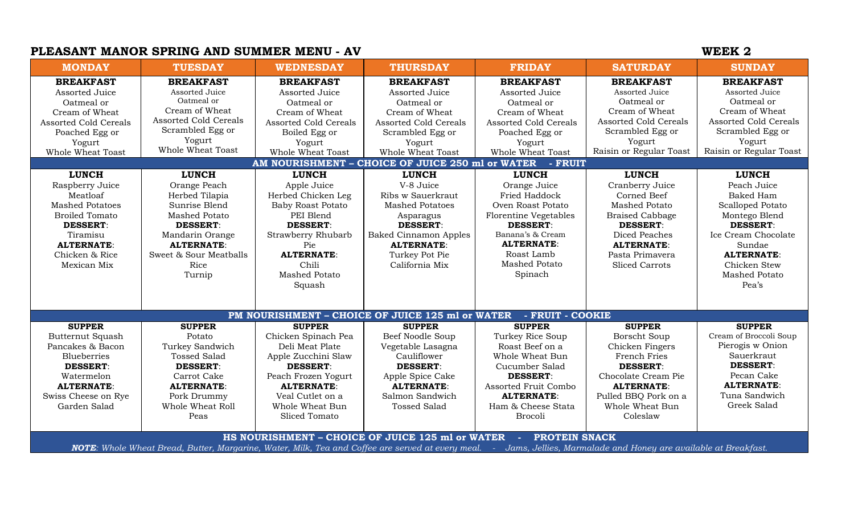### **PLEASANT MANOR SPRING AND SUMMER MENU - AV**

| <b>WEEK</b> |  |
|-------------|--|
|             |  |

| <b>MONDAY</b>                                                                                                                                                                                                                          | <b>TUESDAY</b>                                                                                                                                                                                 | <b>WEDNESDAY</b>                                                                                                                                                                                           | <b>THURSDAY</b>                                                                                                                                                                                   | <b>FRIDAY</b>                                                                                                                                                                                                          | <b>SATURDAY</b>                                                                                                                                                                                       | <b>SUNDAY</b>                                                                                                                                                                                           |
|----------------------------------------------------------------------------------------------------------------------------------------------------------------------------------------------------------------------------------------|------------------------------------------------------------------------------------------------------------------------------------------------------------------------------------------------|------------------------------------------------------------------------------------------------------------------------------------------------------------------------------------------------------------|---------------------------------------------------------------------------------------------------------------------------------------------------------------------------------------------------|------------------------------------------------------------------------------------------------------------------------------------------------------------------------------------------------------------------------|-------------------------------------------------------------------------------------------------------------------------------------------------------------------------------------------------------|---------------------------------------------------------------------------------------------------------------------------------------------------------------------------------------------------------|
| <b>BREAKFAST</b><br>Assorted Juice<br>Oatmeal or<br>Cream of Wheat<br><b>Assorted Cold Cereals</b><br>Poached Egg or<br>Yogurt<br>Whole Wheat Toast                                                                                    | <b>BREAKFAST</b><br>Assorted Juice<br>Oatmeal or<br>Cream of Wheat<br><b>Assorted Cold Cereals</b><br>Scrambled Egg or<br>Yogurt<br>Whole Wheat Toast                                          | <b>BREAKFAST</b><br>Assorted Juice<br>Oatmeal or<br>Cream of Wheat<br>Assorted Cold Cereals<br>Boiled Egg or<br>Yogurt<br>Whole Wheat Toast                                                                | <b>BREAKFAST</b><br>Assorted Juice<br>Oatmeal or<br>Cream of Wheat<br><b>Assorted Cold Cereals</b><br>Scrambled Egg or<br>Yogurt<br>Whole Wheat Toast                                             | <b>BREAKFAST</b><br>Assorted Juice<br>Oatmeal or<br>Cream of Wheat<br><b>Assorted Cold Cereals</b><br>Poached Egg or<br>Yogurt<br>Whole Wheat Toast                                                                    | <b>BREAKFAST</b><br>Assorted Juice<br>Oatmeal or<br>Cream of Wheat<br><b>Assorted Cold Cereals</b><br>Scrambled Egg or<br>Yogurt<br>Raisin or Regular Toast                                           | <b>BREAKFAST</b><br>Assorted Juice<br>Oatmeal or<br>Cream of Wheat<br><b>Assorted Cold Cereals</b><br>Scrambled Egg or<br>Yogurt<br>Raisin or Regular Toast                                             |
|                                                                                                                                                                                                                                        |                                                                                                                                                                                                |                                                                                                                                                                                                            | AM NOURISHMENT - CHOICE OF JUICE 250 ml or WATER - FRUIT                                                                                                                                          |                                                                                                                                                                                                                        |                                                                                                                                                                                                       |                                                                                                                                                                                                         |
| <b>LUNCH</b><br>Raspberry Juice<br>Meatloaf<br><b>Mashed Potatoes</b><br><b>Broiled Tomato</b><br><b>DESSERT:</b><br>Tiramisu<br><b>ALTERNATE:</b><br>Chicken & Rice<br>Mexican Mix                                                    | <b>LUNCH</b><br>Orange Peach<br>Herbed Tilapia<br>Sunrise Blend<br><b>Mashed Potato</b><br><b>DESSERT:</b><br>Mandarin Orange<br><b>ALTERNATE:</b><br>Sweet & Sour Meatballs<br>Rice<br>Turnip | <b>LUNCH</b><br>Apple Juice<br>Herbed Chicken Leg<br><b>Baby Roast Potato</b><br>PEI Blend<br><b>DESSERT:</b><br>Strawberry Rhubarb<br>Pie<br><b>ALTERNATE:</b><br>Chili<br><b>Mashed Potato</b><br>Squash | <b>LUNCH</b><br>V-8 Juice<br>Ribs w Sauerkraut<br><b>Mashed Potatoes</b><br>Asparagus<br><b>DESSERT:</b><br><b>Baked Cinnamon Apples</b><br><b>ALTERNATE:</b><br>Turkey Pot Pie<br>California Mix | <b>LUNCH</b><br>Orange Juice<br><b>Fried Haddock</b><br>Oven Roast Potato<br><b>Florentine Vegetables</b><br><b>DESSERT:</b><br>Banana's & Cream<br><b>ALTERNATE:</b><br>Roast Lamb<br><b>Mashed Potato</b><br>Spinach | <b>LUNCH</b><br>Cranberry Juice<br>Corned Beef<br><b>Mashed Potato</b><br><b>Braised Cabbage</b><br><b>DESSERT:</b><br>Diced Peaches<br><b>ALTERNATE:</b><br>Pasta Primavera<br><b>Sliced Carrots</b> | <b>LUNCH</b><br>Peach Juice<br>Baked Ham<br>Scalloped Potato<br>Montego Blend<br><b>DESSERT:</b><br>Ice Cream Chocolate<br>Sundae<br><b>ALTERNATE:</b><br>Chicken Stew<br><b>Mashed Potato</b><br>Pea's |
|                                                                                                                                                                                                                                        |                                                                                                                                                                                                |                                                                                                                                                                                                            | PM NOURISHMENT - CHOICE OF JUICE 125 ml or WATER                                                                                                                                                  | - FRUIT - COOKIE                                                                                                                                                                                                       |                                                                                                                                                                                                       |                                                                                                                                                                                                         |
| <b>SUPPER</b><br><b>Butternut Squash</b><br>Pancakes & Bacon<br><b>Blueberries</b><br><b>DESSERT:</b><br>Watermelon<br><b>ALTERNATE:</b><br>Swiss Cheese on Rye<br>Garden Salad                                                        | <b>SUPPER</b><br>Potato<br>Turkey Sandwich<br><b>Tossed Salad</b><br><b>DESSERT:</b><br>Carrot Cake<br><b>ALTERNATE:</b><br>Pork Drummy<br>Whole Wheat Roll<br>Peas                            | <b>SUPPER</b><br>Chicken Spinach Pea<br>Deli Meat Plate<br>Apple Zucchini Slaw<br><b>DESSERT:</b><br>Peach Frozen Yogurt<br><b>ALTERNATE:</b><br>Veal Cutlet on a<br>Whole Wheat Bun<br>Sliced Tomato      | <b>SUPPER</b><br>Beef Noodle Soup<br>Vegetable Lasagna<br>Cauliflower<br><b>DESSERT:</b><br>Apple Spice Cake<br><b>ALTERNATE:</b><br>Salmon Sandwich<br><b>Tossed Salad</b>                       | <b>SUPPER</b><br>Turkey Rice Soup<br>Roast Beef on a<br>Whole Wheat Bun<br>Cucumber Salad<br><b>DESSERT:</b><br>Assorted Fruit Combo<br><b>ALTERNATE:</b><br>Ham & Cheese Stata<br><b>Brocoli</b>                      | <b>SUPPER</b><br>Borscht Soup<br>Chicken Fingers<br><b>French Fries</b><br><b>DESSERT:</b><br>Chocolate Cream Pie<br><b>ALTERNATE:</b><br>Pulled BBQ Pork on a<br>Whole Wheat Bun<br>Coleslaw         | <b>SUPPER</b><br>Cream of Broccoli Soup<br>Pierogis w Onion<br>Sauerkraut<br><b>DESSERT:</b><br>Pecan Cake<br><b>ALTERNATE:</b><br>Tuna Sandwich<br>Greek Salad                                         |
| HS NOURISHMENT – CHOICE OF JUICE 125 ml or WATER - PROTEIN SNACK<br>NOTE: Whole Wheat Bread, Butter, Margarine, Water, Milk, Tea and Coffee are served at every meal. - Jams, Jellies, Marmalade and Honey are available at Breakfast. |                                                                                                                                                                                                |                                                                                                                                                                                                            |                                                                                                                                                                                                   |                                                                                                                                                                                                                        |                                                                                                                                                                                                       |                                                                                                                                                                                                         |